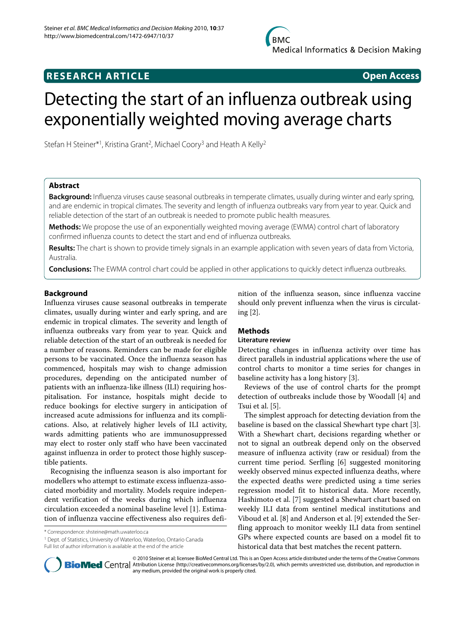

# **RESEARCH ARTICLE Open Access**

# Detecting the start of an influenza outbreak using exponentially weighted moving average charts

Stefan H Steiner\*1, Kristina Grant<sup>2</sup>, Michael Coory<sup>3</sup> and Heath A Kelly<sup>2</sup>

# **Abstract**

**Background:** Influenza viruses cause seasonal outbreaks in temperate climates, usually during winter and early spring, and are endemic in tropical climates. The severity and length of influenza outbreaks vary from year to year. Quick and reliable detection of the start of an outbreak is needed to promote public health measures.

**Methods:** We propose the use of an exponentially weighted moving average (EWMA) control chart of laboratory confirmed influenza counts to detect the start and end of influenza outbreaks.

**Results:** The chart is shown to provide timely signals in an example application with seven years of data from Victoria, Australia.

**Conclusions:** The EWMA control chart could be applied in other applications to quickly detect influenza outbreaks.

# **Background**

Influenza viruses cause seasonal outbreaks in temperate climates, usually during winter and early spring, and are endemic in tropical climates. The severity and length of influenza outbreaks vary from year to year. Quick and reliable detection of the start of an outbreak is needed for a number of reasons. Reminders can be made for eligible persons to be vaccinated. Once the influenza season has commenced, hospitals may wish to change admission procedures, depending on the anticipated number of patients with an influenza-like illness (ILI) requiring hospitalisation. For instance, hospitals might decide to reduce bookings for elective surgery in anticipation of increased acute admissions for influenza and its complications. Also, at relatively higher levels of ILI activity, wards admitting patients who are immunosuppressed may elect to roster only staff who have been vaccinated against influenza in order to protect those highly susceptible patients.

Recognising the influenza season is also important for modellers who attempt to estimate excess influenza-associated morbidity and mortality. Models require independent verification of the weeks during which influenza circulation exceeded a nominal baseline level [\[1](#page-7-0)]. Estimation of influenza vaccine effectiveness also requires defi-

1 Dept. of Statistics, University of Waterloo, Waterloo, Ontario Canada Full list of author information is available at the end of the article

nition of the influenza season, since influenza vaccine should only prevent influenza when the virus is circulating [[2\]](#page-7-1).

# **Methods**

# **Literature review**

Detecting changes in influenza activity over time has direct parallels in industrial applications where the use of control charts to monitor a time series for changes in baseline activity has a long history [[3](#page-7-2)].

Reviews of the use of control charts for the prompt detection of outbreaks include those by Woodall [\[4](#page-7-3)] and Tsui et al. [\[5](#page-7-4)].

The simplest approach for detecting deviation from the baseline is based on the classical Shewhart type chart [\[3](#page-7-2)]. With a Shewhart chart, decisions regarding whether or not to signal an outbreak depend only on the observed measure of influenza activity (raw or residual) from the current time period. Serfling [\[6](#page-7-5)] suggested monitoring weekly observed minus expected influenza deaths, where the expected deaths were predicted using a time series regression model fit to historical data. More recently, Hashimoto et al. [[7](#page-7-6)] suggested a Shewhart chart based on weekly ILI data from sentinel medical institutions and Viboud et al. [[8\]](#page-7-7) and Anderson et al. [[9\]](#page-7-8) extended the Serfling approach to monitor weekly ILI data from sentinel GPs where expected counts are based on a model fit to historical data that best matches the recent pattern.



© 2010 Steiner et al; licensee BioMed Central Ltd. This is an Open Access article distributed under the terms of the Creative Commons **Bio Med** Central Attribution License (http://creativecommons.org/licenses/by/2.0), which permits unrestricted use, distribution, and reproduction in any medium, provided the original work is properly cited.

<sup>\*</sup> Correspondence: shsteine@math.uwaterloo.ca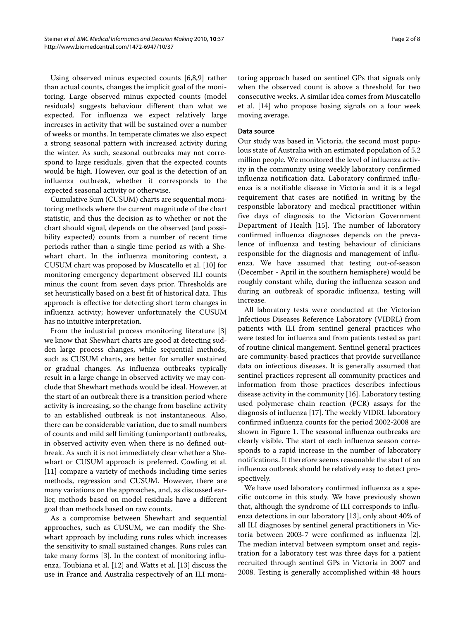Using observed minus expected counts [\[6](#page-7-5)[,8](#page-7-7)[,9](#page-7-8)] rather than actual counts, changes the implicit goal of the monitoring. Large observed minus expected counts (model residuals) suggests behaviour different than what we expected. For influenza we expect relatively large increases in activity that will be sustained over a number of weeks or months. In temperate climates we also expect a strong seasonal pattern with increased activity during the winter. As such, seasonal outbreaks may not correspond to large residuals, given that the expected counts would be high. However, our goal is the detection of an influenza outbreak, whether it corresponds to the expected seasonal activity or otherwise.

Cumulative Sum (CUSUM) charts are sequential monitoring methods where the current magnitude of the chart statistic, and thus the decision as to whether or not the chart should signal, depends on the observed (and possibility expected) counts from a number of recent time periods rather than a single time period as with a Shewhart chart. In the influenza monitoring context, a CUSUM chart was proposed by Muscatello et al. [\[10\]](#page-7-9) for monitoring emergency department observed ILI counts minus the count from seven days prior. Thresholds are set heuristically based on a best fit of historical data. This approach is effective for detecting short term changes in influenza activity; however unfortunately the CUSUM has no intuitive interpretation.

From the industrial process monitoring literature [\[3](#page-7-2)] we know that Shewhart charts are good at detecting sudden large process changes, while sequential methods, such as CUSUM charts, are better for smaller sustained or gradual changes. As influenza outbreaks typically result in a large change in observed activity we may conclude that Shewhart methods would be ideal. However, at the start of an outbreak there is a transition period where activity is increasing, so the change from baseline activity to an established outbreak is not instantaneous. Also, there can be considerable variation, due to small numbers of counts and mild self limiting (unimportant) outbreaks, in observed activity even when there is no defined outbreak. As such it is not immediately clear whether a Shewhart or CUSUM approach is preferred. Cowling et al. [[11\]](#page-7-10) compare a variety of methods including time series methods, regression and CUSUM. However, there are many variations on the approaches, and, as discussed earlier, methods based on model residuals have a different goal than methods based on raw counts.

As a compromise between Shewhart and sequential approaches, such as CUSUM, we can modify the Shewhart approach by including runs rules which increases the sensitivity to small sustained changes. Runs rules can take many forms [\[3](#page-7-2)]. In the context of monitoring influenza, Toubiana et al. [[12\]](#page-7-11) and Watts et al. [\[13](#page-7-12)] discuss the use in France and Australia respectively of an ILI moni-

toring approach based on sentinel GPs that signals only when the observed count is above a threshold for two consecutive weeks. A similar idea comes from Muscatello et al. [[14](#page-7-13)] who propose basing signals on a four week moving average.

#### **Data source**

Our study was based in Victoria, the second most populous state of Australia with an estimated population of 5.2 million people. We monitored the level of influenza activity in the community using weekly laboratory confirmed influenza notification data. Laboratory confirmed influenza is a notifiable disease in Victoria and it is a legal requirement that cases are notified in writing by the responsible laboratory and medical practitioner within five days of diagnosis to the Victorian Government Department of Health [[15\]](#page-7-14). The number of laboratory confirmed influenza diagnoses depends on the prevalence of influenza and testing behaviour of clinicians responsible for the diagnosis and management of influenza. We have assumed that testing out-of-season (December - April in the southern hemisphere) would be roughly constant while, during the influenza season and during an outbreak of sporadic influenza, testing will increase.

All laboratory tests were conducted at the Victorian Infectious Diseases Reference Laboratory (VIDRL) from patients with ILI from sentinel general practices who were tested for influenza and from patients tested as part of routine clinical mangement. Sentinel general practices are community-based practices that provide surveillance data on infectious diseases. It is generally assumed that sentinel practices represent all community practices and information from those practices describes infectious disease activity in the community [[16\]](#page-7-15). Laboratory testing used polymerase chain reaction (PCR) assays for the diagnosis of influenza [[17\]](#page-7-16). The weekly VIDRL laboratory confirmed influenza counts for the period 2002-2008 are shown in Figure [1.](#page-2-0) The seasonal influenza outbreaks are clearly visible. The start of each influenza season corresponds to a rapid increase in the number of laboratory notifications. It therefore seems reasonable the start of an influenza outbreak should be relatively easy to detect prospectively.

We have used laboratory confirmed influenza as a specific outcome in this study. We have previously shown that, although the syndrome of ILI corresponds to influenza detections in our laboratory [\[13\]](#page-7-12), only about 40% of all ILI diagnoses by sentinel general practitioners in Victoria between 2003-7 were confirmed as influenza [\[2](#page-7-1)]. The median interval between symptom onset and registration for a laboratory test was three days for a patient recruited through sentinel GPs in Victoria in 2007 and 2008. Testing is generally accomplished within 48 hours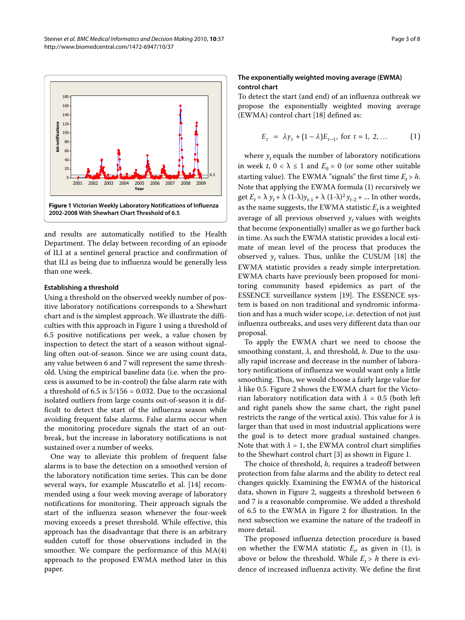<span id="page-2-0"></span>

and results are automatically notified to the Health Department. The delay between recording of an episode of ILI at a sentinel general practice and confirmation of that ILI as being due to influenza would be generally less than one week.

#### **Establishing a threshold**

Using a threshold on the observed weekly number of positive laboratory notifications corresponds to a Shewhart chart and is the simplest approach. We illustrate the difficulties with this approach in Figure [1](#page-2-0) using a threshold of 6.5 positive notifications per week, a value chosen by inspection to detect the start of a season without signalling often out-of-season. Since we are using count data, any value between 6 and 7 will represent the same threshold. Using the empirical baseline data (i.e. when the process is assumed to be in-control) the false alarm rate with a threshold of  $6.5$  is  $5/156 = 0.032$ . Due to the occasional isolated outliers from large counts out-of-season it is difficult to detect the start of the influenza season while avoiding frequent false alarms. False alarms occur when the monitoring procedure signals the start of an outbreak, but the increase in laboratory notifications is not sustained over a number of weeks.

One way to alleviate this problem of frequent false alarms is to base the detection on a smoothed version of the laboratory notification time series. This can be done several ways, for example Muscatello et al. [\[14](#page-7-13)] recommended using a four week moving average of laboratory notifications for monitoring. Their approach signals the start of the influenza season whenever the four-week moving exceeds a preset threshold. While effective, this approach has the disadvantage that there is an arbitrary sudden cutoff for those observations included in the smoother. We compare the performance of this MA(4) approach to the proposed EWMA method later in this paper.

# **The exponentially weighted moving average (EWMA) control chart**

To detect the start (and end) of an influenza outbreak we propose the exponentially weighted moving average (EWMA) control chart [[18\]](#page-7-17) defined as:

$$
E_t = \lambda y_t + (1 - \lambda) E_{t-1}, \text{ for } t = 1, 2, ... \tag{1}
$$

where  $y_t$  equals the number of laboratory notifications in week *t*,  $0 < \lambda \le 1$  and  $E_0 = 0$  (or some other suitable starting value). The EWMA "signals" the first time  $E_t > h$ . Note that applying the EWMA formula (1) recursively we get  $E_t = \lambda y_t + \lambda (1-\lambda)y_{t-1} + \lambda (1-\lambda)^2 y_{t-2} + \dots$  In other words, as the name suggests, the EWMA statistic  $E_t$  is a weighted average of all previous observed  $y_t$  values with weights that become (exponentially) smaller as we go further back in time. As such the EWMA statistic provides a local estimate of mean level of the process that produces the observed  $y_t$  values. Thus, unlike the CUSUM [[18\]](#page-7-17) the EWMA statistic provides a ready simple interpretation. EWMA charts have previously been proposed for monitoring community based epidemics as part of the ESSENCE surveillance system [[19\]](#page-7-18). The ESSENCE system is based on non traditional and syndromic information and has a much wider scope, i.e. detection of not just influenza outbreaks, and uses very different data than our proposal.

To apply the EWMA chart we need to choose the smoothing constant, *λ*, and threshold, *h*. Due to the usually rapid increase and decrease in the number of laboratory notifications of influenza we would want only a little smoothing. Thus, we would choose a fairly large value for *λ* like 0.5. Figure [2](#page-3-0) shows the EWMA chart for the Victorian laboratory notification data with  $\lambda = 0.5$  (both left and right panels show the same chart, the right panel restricts the range of the vertical axis). This value for  $\lambda$  is larger than that used in most industrial applications were the goal is to detect more gradual sustained changes. Note that with  $\lambda = 1$ , the EWMA control chart simplifies to the Shewhart control chart [[3\]](#page-7-2) as shown in Figure [1](#page-2-0).

The choice of threshold, *h*, requires a tradeoff between protection from false alarms and the ability to detect real changes quickly. Examining the EWMA of the historical data, shown in Figure [2](#page-3-0), suggests a threshold between 6 and 7 is a reasonable compromise. We added a threshold of 6.5 to the EWMA in Figure [2](#page-3-0) for illustration. In the next subsection we examine the nature of the tradeoff in more detail.

The proposed influenza detection procedure is based on whether the EWMA statistic  $E_t$ , as given in (1), is above or below the threshold. While  $E_t > h$  there is evidence of increased influenza activity. We define the first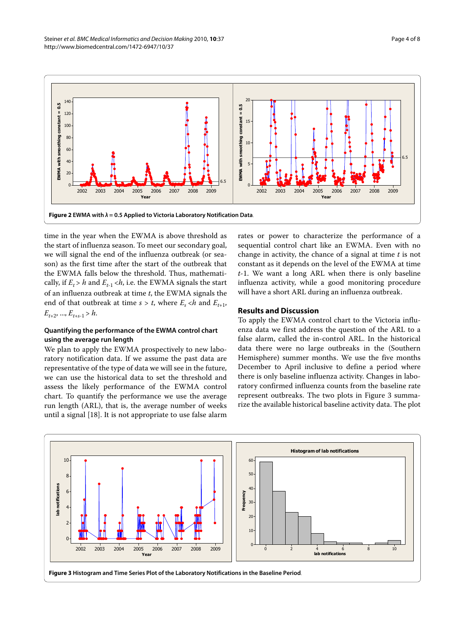<span id="page-3-0"></span>

time in the year when the EWMA is above threshold as the start of influenza season. To meet our secondary goal, we will signal the end of the influenza outbreak (or season) as the first time after the start of the outbreak that the EWMA falls below the threshold. Thus, mathematically, if  $E_t > h$  and  $E_{t-1} < h$ , i.e. the EWMA signals the start of an influenza outbreak at time *t*, the EWMA signals the end of that outbreak at time  $s > t$ , where  $E_s < h$  and  $E_{t+1}$ ,  $E_{t+2}, ..., E_{t+s-1} > h.$ 

# **Quantifying the performance of the EWMA control chart using the average run length**

We plan to apply the EWMA prospectively to new laboratory notification data. If we assume the past data are representative of the type of data we will see in the future, we can use the historical data to set the threshold and assess the likely performance of the EWMA control chart. To quantify the performance we use the average run length (ARL), that is, the average number of weeks until a signal [\[18](#page-7-17)]. It is not appropriate to use false alarm

rates or power to characterize the performance of a sequential control chart like an EWMA. Even with no change in activity, the chance of a signal at time *t* is not constant as it depends on the level of the EWMA at time *t*-1. We want a long ARL when there is only baseline influenza activity, while a good monitoring procedure will have a short ARL during an influenza outbreak.

# **Results and Discussion**

To apply the EWMA control chart to the Victoria influenza data we first address the question of the ARL to a false alarm, called the in-control ARL. In the historical data there were no large outbreaks in the (Southern Hemisphere) summer months. We use the five months December to April inclusive to define a period where there is only baseline influenza activity. Changes in laboratory confirmed influenza counts from the baseline rate represent outbreaks. The two plots in Figure [3](#page-3-1) summarize the available historical baseline activity data. The plot

<span id="page-3-1"></span>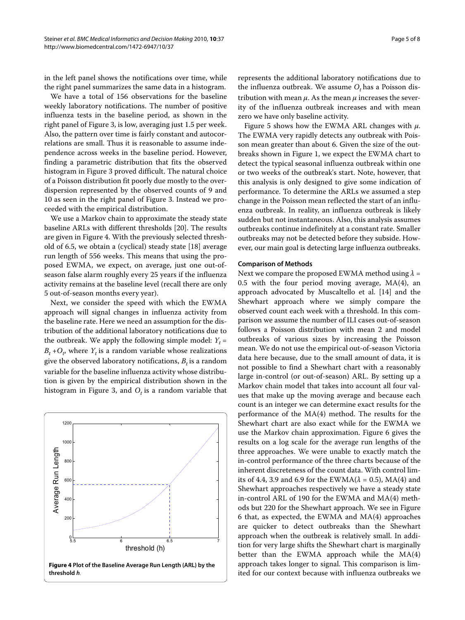in the left panel shows the notifications over time, while the right panel summarizes the same data in a histogram.

We have a total of 156 observations for the baseline weekly laboratory notifications. The number of positive influenza tests in the baseline period, as shown in the right panel of Figure [3,](#page-3-1) is low, averaging just 1.5 per week. Also, the pattern over time is fairly constant and autocorrelations are small. Thus it is reasonable to assume independence across weeks in the baseline period. However, finding a parametric distribution that fits the observed histogram in Figure [3](#page-3-1) proved difficult. The natural choice of a Poisson distribution fit poorly due mostly to the overdispersion represented by the observed counts of 9 and 10 as seen in the right panel of Figure [3.](#page-3-1) Instead we proceeded with the empirical distribution.

We use a Markov chain to approximate the steady state baseline ARLs with different thresholds [\[20\]](#page-7-19). The results are given in Figure [4.](#page-4-0) With the previously selected threshold of 6.5, we obtain a (cyclical) steady state [\[18\]](#page-7-17) average run length of 556 weeks. This means that using the proposed EWMA, we expect, on average, just one out-ofseason false alarm roughly every 25 years if the influenza activity remains at the baseline level (recall there are only 5 out-of-season months every year).

Next, we consider the speed with which the EWMA approach will signal changes in influenza activity from the baseline rate. Here we need an assumption for the distribution of the additional laboratory notifications due to the outbreak. We apply the following simple model:  $Y_t =$  $B_t$  + $O_t$ , where  $Y_t$  is a random variable whose realizations give the observed laboratory notifications,  $B_t$  is a random variable for the baseline influenza activity whose distribution is given by the empirical distribution shown in the histogram in Figure [3,](#page-3-1) and  $O_t$  is a random variable that

<span id="page-4-0"></span>

**Figure 4 Plot of the Baseline Average Run Length (ARL) by the threshold h**.

represents the additional laboratory notifications due to the influenza outbreak. We assume  $O_t$  has a Poisson distribution with mean *μ*. As the mean *μ* increases the severity of the influenza outbreak increases and with mean zero we have only baseline activity.

Figure [5](#page-5-0) shows how the EWMA ARL changes with *μ*. The EWMA very rapidly detects any outbreak with Poisson mean greater than about 6. Given the size of the outbreaks shown in Figure [1,](#page-2-0) we expect the EWMA chart to detect the typical seasonal influenza outbreak within one or two weeks of the outbreak's start. Note, however, that this analysis is only designed to give some indication of performance. To determine the ARLs we assumed a step change in the Poisson mean reflected the start of an influenza outbreak. In reality, an influenza outbreak is likely sudden but not instantaneous. Also, this analysis assumes outbreaks continue indefinitely at a constant rate. Smaller outbreaks may not be detected before they subside. However, our main goal is detecting large influenza outbreaks.

#### **Comparison of Methods**

Next we compare the proposed EWMA method using *λ* = 0.5 with the four period moving average,  $MA(4)$ , an approach advocated by Muscaltello et al. [\[14](#page-7-13)] and the Shewhart approach where we simply compare the observed count each week with a threshold. In this comparison we assume the number of ILI cases out-of-season follows a Poisson distribution with mean 2 and model outbreaks of various sizes by increasing the Poisson mean. We do not use the empirical out-of-season Victoria data here because, due to the small amount of data, it is not possible to find a Shewhart chart with a reasonably large in-control (or out-of-season) ARL. By setting up a Markov chain model that takes into account all four values that make up the moving average and because each count is an integer we can determine exact results for the performance of the MA(4) method. The results for the Shewhart chart are also exact while for the EWMA we use the Markov chain approximation. Figure [6](#page-5-1) gives the results on a log scale for the average run lengths of the three approaches. We were unable to exactly match the in-control performance of the three charts because of the inherent discreteness of the count data. With control limits of 4.4, 3.9 and 6.9 for the EWMA( $\lambda$  = 0.5), MA(4) and Shewhart approaches respectively we have a steady state in-control ARL of 190 for the EWMA and MA(4) methods but 220 for the Shewhart approach. We see in Figure [6](#page-5-1) that, as expected, the EWMA and MA(4) approaches are quicker to detect outbreaks than the Shewhart approach when the outbreak is relatively small. In addition for very large shifts the Shewhart chart is marginally better than the EWMA approach while the MA(4) approach takes longer to signal. This comparison is limited for our context because with influenza outbreaks we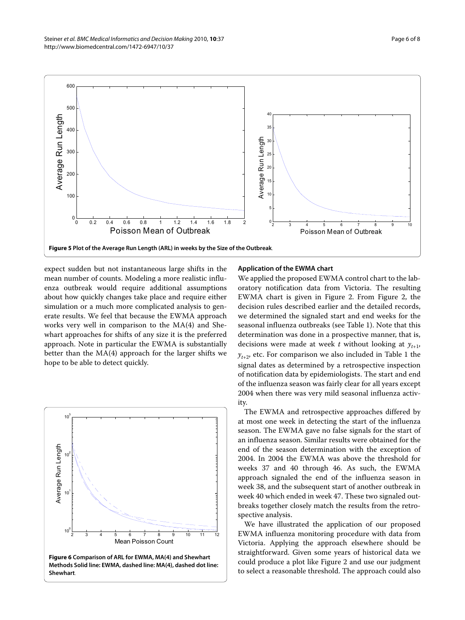<span id="page-5-0"></span>

expect sudden but not instantaneous large shifts in the mean number of counts. Modeling a more realistic influenza outbreak would require additional assumptions about how quickly changes take place and require either simulation or a much more complicated analysis to generate results. We feel that because the EWMA approach works very well in comparison to the MA(4) and Shewhart approaches for shifts of any size it is the preferred approach. Note in particular the EWMA is substantially better than the MA(4) approach for the larger shifts we hope to be able to detect quickly.

<span id="page-5-1"></span>

**Methods Solid line: EWMA, dashed line: MA(4), dashed dot line: Shewhart**.

# **Application of the EWMA chart**

We applied the proposed EWMA control chart to the laboratory notification data from Victoria. The resulting EWMA chart is given in Figure [2](#page-3-0). From Figure [2,](#page-3-0) the decision rules described earlier and the detailed records, we determined the signaled start and end weeks for the seasonal influenza outbreaks (see Table 1). Note that this determination was done in a prospective manner, that is, decisions were made at week *t* without looking at  $y_{t+1}$ ,  $y_{t+2}$ , etc. For comparison we also included in Table 1 the signal dates as determined by a retrospective inspection of notification data by epidemiologists. The start and end of the influenza season was fairly clear for all years except 2004 when there was very mild seasonal influenza activity.

The EWMA and retrospective approaches differed by at most one week in detecting the start of the influenza season. The EWMA gave no false signals for the start of an influenza season. Similar results were obtained for the end of the season determination with the exception of 2004. In 2004 the EWMA was above the threshold for weeks 37 and 40 through 46. As such, the EWMA approach signaled the end of the influenza season in week 38, and the subsequent start of another outbreak in week 40 which ended in week 47. These two signaled outbreaks together closely match the results from the retrospective analysis.

We have illustrated the application of our proposed EWMA influenza monitoring procedure with data from Victoria. Applying the approach elsewhere should be straightforward. Given some years of historical data we could produce a plot like Figure [2](#page-3-0) and use our judgment to select a reasonable threshold. The approach could also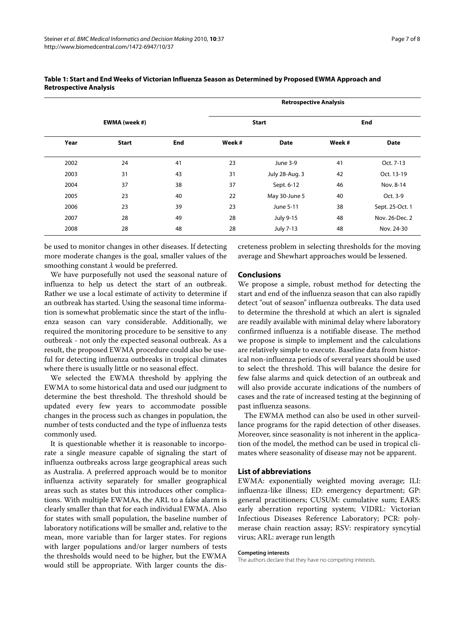|      |               |     | <b>Retrospective Analysis</b> |                |        |                 |  |
|------|---------------|-----|-------------------------------|----------------|--------|-----------------|--|
|      | EWMA (week #) |     |                               | <b>Start</b>   |        | End             |  |
| Year | <b>Start</b>  | End | Week #                        | <b>Date</b>    | Week # | <b>Date</b>     |  |
| 2002 | 24            | 41  | 23                            | June 3-9       | 41     | Oct. 7-13       |  |
| 2003 | 31            | 43  | 31                            | July 28-Aug. 3 | 42     | Oct. 13-19      |  |
| 2004 | 37            | 38  | 37                            | Sept. 6-12     | 46     | Nov. 8-14       |  |
| 2005 | 23            | 40  | 22                            | May 30-June 5  | 40     | Oct. 3-9        |  |
| 2006 | 23            | 39  | 23                            | June 5-11      | 38     | Sept. 25-Oct. 1 |  |
| 2007 | 28            | 49  | 28                            | July 9-15      | 48     | Nov. 26-Dec. 2  |  |
| 2008 | 28            | 48  | 28                            | July 7-13      | 48     | Nov. 24-30      |  |

# **Table 1: Start and End Weeks of Victorian Influenza Season as Determined by Proposed EWMA Approach and Retrospective Analysis**

be used to monitor changes in other diseases. If detecting more moderate changes is the goal, smaller values of the smoothing constant *λ* would be preferred.

We have purposefully not used the seasonal nature of influenza to help us detect the start of an outbreak. Rather we use a local estimate of activity to determine if an outbreak has started. Using the seasonal time information is somewhat problematic since the start of the influenza season can vary considerable. Additionally, we required the monitoring procedure to be sensitive to any outbreak - not only the expected seasonal outbreak. As a result, the proposed EWMA procedure could also be useful for detecting influenza outbreaks in tropical climates where there is usually little or no seasonal effect.

We selected the EWMA threshold by applying the EWMA to some historical data and used our judgment to determine the best threshold. The threshold should be updated every few years to accommodate possible changes in the process such as changes in population, the number of tests conducted and the type of influenza tests commonly used.

It is questionable whether it is reasonable to incorporate a single measure capable of signaling the start of influenza outbreaks across large geographical areas such as Australia. A preferred approach would be to monitor influenza activity separately for smaller geographical areas such as states but this introduces other complications. With multiple EWMAs, the ARL to a false alarm is clearly smaller than that for each individual EWMA. Also for states with small population, the baseline number of laboratory notifications will be smaller and, relative to the mean, more variable than for larger states. For regions with larger populations and/or larger numbers of tests the thresholds would need to be higher, but the EWMA would still be appropriate. With larger counts the dis-

creteness problem in selecting thresholds for the moving average and Shewhart approaches would be lessened.

### **Conclusions**

We propose a simple, robust method for detecting the start and end of the influenza season that can also rapidly detect "out of season" influenza outbreaks. The data used to determine the threshold at which an alert is signaled are readily available with minimal delay where laboratory confirmed influenza is a notifiable disease. The method we propose is simple to implement and the calculations are relatively simple to execute. Baseline data from historical non-influenza periods of several years should be used to select the threshold. This will balance the desire for few false alarms and quick detection of an outbreak and will also provide accurate indications of the numbers of cases and the rate of increased testing at the beginning of past influenza seasons.

The EWMA method can also be used in other surveillance programs for the rapid detection of other diseases. Moreover, since seasonality is not inherent in the application of the model, the method can be used in tropical climates where seasonality of disease may not be apparent.

## **List of abbreviations**

EWMA: exponentially weighted moving average; ILI: influenza-like illness; ED: emergency department; GP: general practitioners; CUSUM: cumulative sum; EARS: early aberration reporting system; VIDRL: Victorian Infectious Diseases Reference Laboratory; PCR: polymerase chain reaction assay; RSV: respiratory syncytial virus; ARL: average run length

#### **Competing interests**

The authors declare that they have no competing interests.